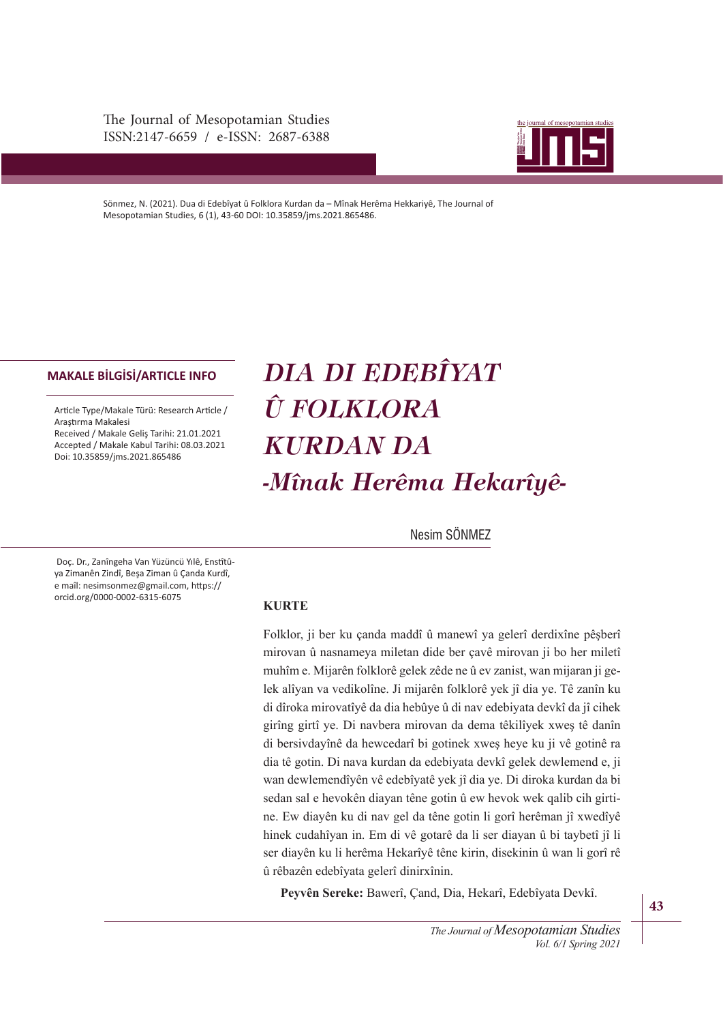The Journal of Mesopotamian Studies ISSN:2147-6659 / e-ISSN: 2687-6388



Sönmez, N. (2021). Dua di Edebîyat û Folklora Kurdan da – Mînak Herêma Hekkariyê, The Journal of Mesopotamian Studies, 6 (1), 43-60 DOI: 10.35859/jms.2021.865486.

#### **MAKALE BİLGİSİ/ARTICLE INFO**

Article Type/Makale Türü: Research Article / Araştrma Makalesi Received / Makale Geliş Tarihi: 21.01.2021 Accepted / Makale Kabul Tarihi: 08.03.2021 Doi: 10.35859/jms.2021.865486

# *DIA DI EDEBÎYAT Û FOLKLORA KURDAN DA -Mînak Herêma Hekarîyê-*

Nesim SÖNMEZ

Doç. Dr., Zanîngeha Van Yüzüncü Yılê, Enstîtûya Zimanên Zindî, Beşa Ziman û Çanda Kurdî, e maîl: nesimsonmez@gmail.com, https:// orcid.org/0000-0002-6315-6075

# **.857(**

Folklor, ji ber ku çanda maddî û manewî ya gelerî derdixîne pêşberî mirovan û nasnameya miletan dide ber çavê mirovan ji bo her miletî muhîm e. Mijarên folklorê gelek zêde ne û ev zanist, wan mijaran ji gelek alîyan va vedikolîne. Ji mijarên folklorê yek jî dia ye. Tê zanîn ku di dîroka mirovatîyê da dia hebûye û di nav edebiyata devkî da jî cihek girîng girtî ye. Di navbera mirovan da dema têkilîyek xweş tê danîn di bersivdayînê da hewcedarî bi gotinek xweş heye ku ji vê gotinê ra dia tê gotin. Di nava kurdan da edebiyata devkî gelek dewlemend e, ji wan dewlemendîyên vê edebîyatê yek jî dia ye. Di diroka kurdan da bi sedan sal e hevokên diayan têne gotin û ew hevok wek qalib cih girtine. Ew diayên ku di nav gel da têne gotin li gorî herêman jî xwedîyê hinek cudahîyan in. Em di vê gotarê da li ser diayan û bi taybetî jî li ser diayên ku li herêma Hekarîyê têne kirin, disekinin û wan li gorî rê û rêbazên edebîyata gelerî dinirxînin.

Peyvên Sereke: Bawerî, Çand, Dia, Hekarî, Edebîyata Devkî.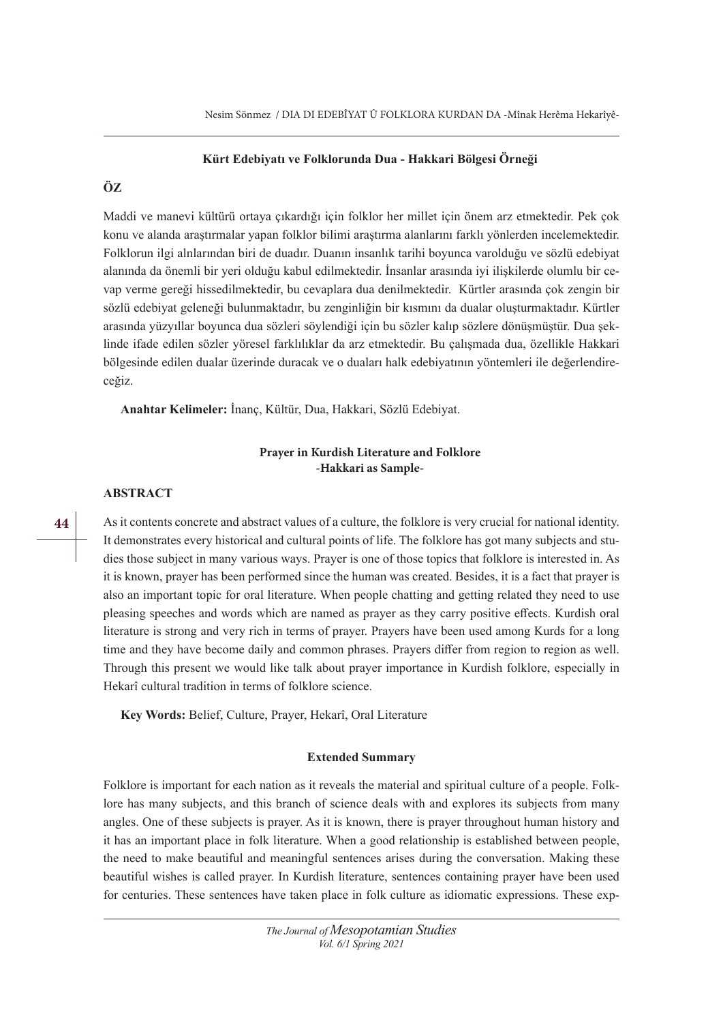### Kürt Edebiyatı ve Folklorunda Dua - Hakkari Bölgesi Örneği

# ÖZ

Maddi ve manevi kültürü ortaya çıkardığı için folklor her millet için önem arz etmektedir. Pek çok konu ve alanda araştırmalar yapan folklor bilimi araştırma alanlarını farklı yönlerden incelemektedir. Folklorun ilgi alnlarından biri de duadır. Duanın insanlık tarihi boyunca varolduğu ve sözlü edebiyat alanında da önemli bir yeri olduğu kabul edilmektedir. İnsanlar arasında iyi ilişkilerde olumlu bir cevap verme gereği hissedilmektedir, bu cevaplara dua denilmektedir. Kürtler arasında çok zengin bir sözlü edebiyat geleneği bulunmaktadır, bu zenginliğin bir kısmını da dualar oluşturmaktadır. Kürtler arasında yüzyıllar boyunca dua sözleri söylendiği için bu sözler kalıp sözlere dönüşmüştür. Dua şeklinde ifade edilen sözler yöresel farklılıklar da arz etmektedir. Bu çalışmada dua, özellikle Hakkari bölgesinde edilen dualar üzerinde duracak ve o duaları halk edebiyatının yöntemleri ile değerlendireceğiz.

**Anahtar Kelimeler: İnanç, Kültür, Dua, Hakkari, Sözlü Edebiyat.** 

# **Prayer in Kurdish Literature and Folklore -Hakkari as Sample-**

# $ABSTRACT$

As it contents concrete and abstract values of a culture, the folklore is very crucial for national identity. It demonstrates every historical and cultural points of life. The folklore has got many subjects and studies those subject in many various ways. Prayer is one of those topics that folklore is interested in. As it is known, prayer has been performed since the human was created. Besides, it is a fact that prayer is also an important topic for oral literature. When people chatting and getting related they need to use pleasing speeches and words which are named as prayer as they carry positive efects. Kurdish oral literature is strong and very rich in terms of prayer. Prayers have been used among Kurds for a long time and they have become daily and common phrases. Prayers difer from region to region as well. Through this present we would like talk about prayer importance in Kurdish folklore, especially in Hekarî cultural tradition in terms of folklore science.

Key Words: Belief, Culture, Prayer, Hekarî, Oral Literature

## **Extended Summary**

Folklore is important for each nation as it reveals the material and spiritual culture of a people. Folklore has many subjects, and this branch of science deals with and explores its subjects from many angles. One of these subjects is prayer. As it is known, there is prayer throughout human history and it has an important place in folk literature. When a good relationship is established between people, the need to make beautiful and meaningful sentences arises during the conversation. Making these beautiful wishes is called prayer. In Kurdish literature, sentences containing prayer have been used for centuries. These sentences have taken place in folk culture as idiomatic expressions. These exp-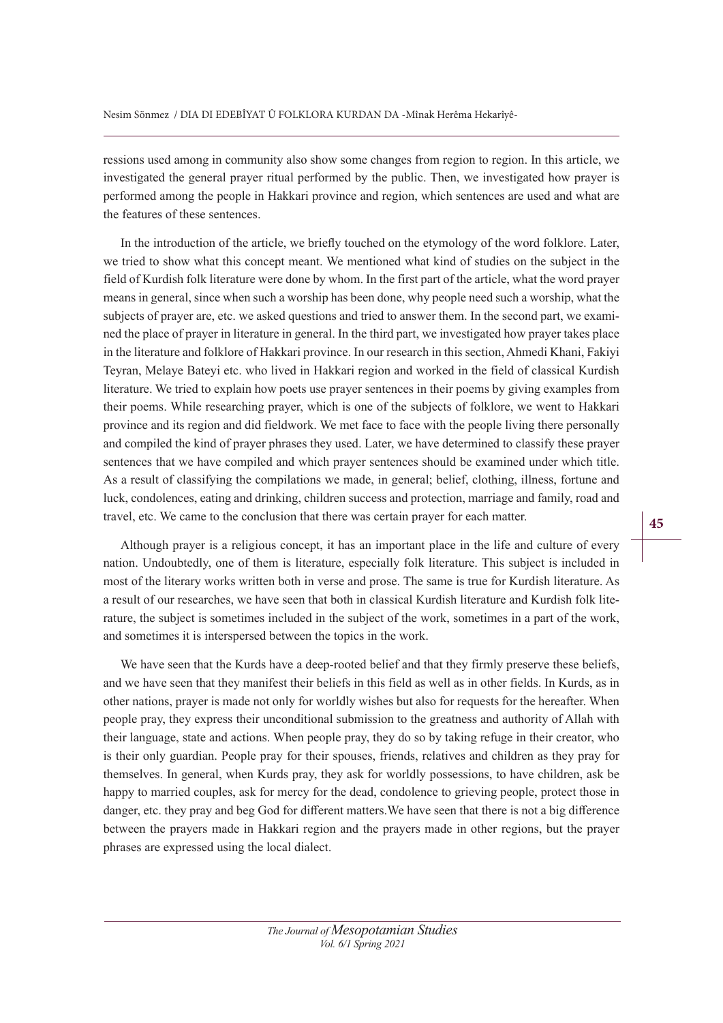ressions used among in community also show some changes from region to region. In this article, we investigated the general prayer ritual performed by the public. Then, we investigated how prayer is performed among the people in Hakkari province and region, which sentences are used and what are the features of these sentences.

In the introduction of the article, we briefy touched on the etymology of the word folklore. Later, we tried to show what this concept meant. We mentioned what kind of studies on the subject in the field of Kurdish folk literature were done by whom. In the first part of the article, what the word prayer means in general, since when such a worship has been done, why people need such a worship, what the subjects of prayer are, etc. we asked questions and tried to answer them. In the second part, we examined the place of prayer in literature in general. In the third part, we investigated how prayer takes place in the literature and folklore of Hakkari province. In our research in this section, Ahmedi Khani, Fakiyi Teyran, Melaye Bateyi etc. who lived in Hakkari region and worked in the field of classical Kurdish literature. We tried to explain how poets use prayer sentences in their poems by giving examples from their poems. While researching prayer, which is one of the subjects of folklore, we went to Hakkari province and its region and did fieldwork. We met face to face with the people living there personally and compiled the kind of prayer phrases they used. Later, we have determined to classify these prayer sentences that we have compiled and which prayer sentences should be examined under which title. As a result of classifying the compilations we made, in general; belief, clothing, illness, fortune and luck, condolences, eating and drinking, children success and protection, marriage and family, road and travel, etc. We came to the conclusion that there was certain prayer for each matter.

Although prayer is a religious concept, it has an important place in the life and culture of every nation. Undoubtedly, one of them is literature, especially folk literature. This subject is included in most of the literary works written both in verse and prose. The same is true for Kurdish literature. As a result of our researches, we have seen that both in classical Kurdish literature and Kurdish folk literature, the subject is sometimes included in the subject of the work, sometimes in a part of the work, and sometimes it is interspersed between the topics in the work.

We have seen that the Kurds have a deep-rooted belief and that they firmly preserve these beliefs, and we have seen that they manifest their beliefs in this field as well as in other fields. In Kurds, as in other nations, prayer is made not only for worldly wishes but also for requests for the hereafter. When people pray, they express their unconditional submission to the greatness and authority of Allah with their language, state and actions. When people pray, they do so by taking refuge in their creator, who is their only guardian. People pray for their spouses, friends, relatives and children as they pray for themselves. In general, when Kurds pray, they ask for worldly possessions, to have children, ask be happy to married couples, ask for mercy for the dead, condolence to grieving people, protect those in danger, etc. they pray and beg God for diferent matters.We have seen that there is not a big diference between the prayers made in Hakkari region and the prayers made in other regions, but the prayer phrases are expressed using the local dialect.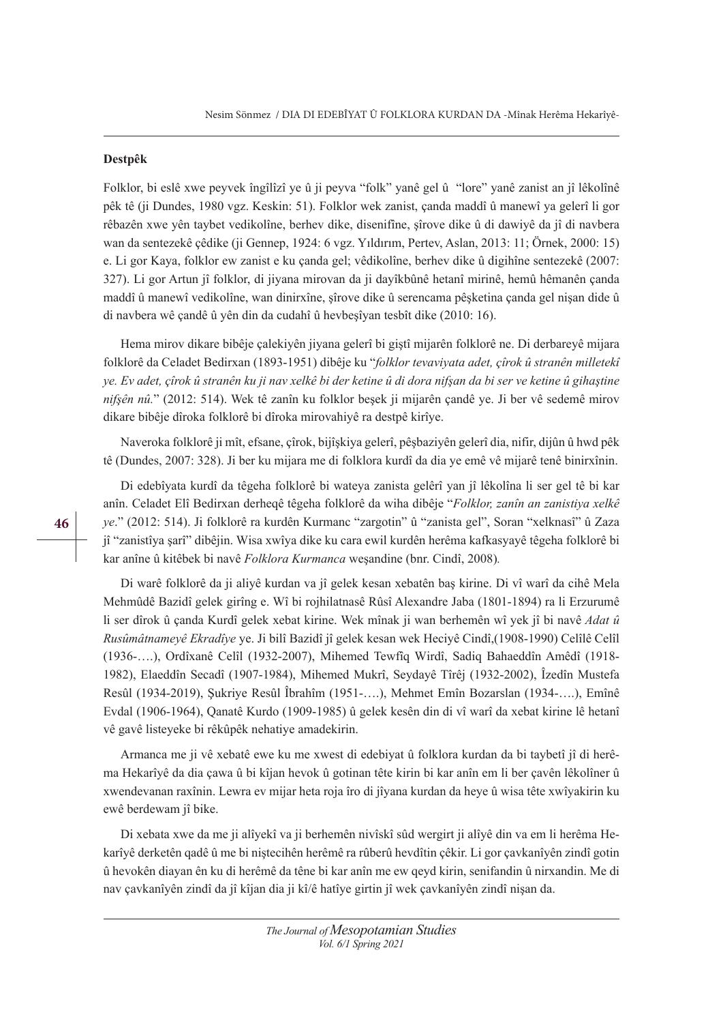#### **Destpêk**

Folklor, bi eslê xwe peyvek îngîlîzî ye û ji peyva "folk" yanê gel û "lore" yanê zanist an jî lêkolînê pêk tê (ji Dundes, 1980 vgz. Keskin: 51). Folklor wek zanist, çanda maddî û manewî ya gelerî li gor rêbazên xwe yên taybet vedikolîne, berhev dike, disenifîne, şîrove dike û di dawiyê da jî di navbera wan da sentezekê çêdike (ji Gennep, 1924: 6 vgz. Yıldırım, Pertev, Aslan, 2013: 11; Örnek, 2000: 15) e. Li gor Kaya, folklor ew zanist e ku çanda gel; vêdikolîne, berhev dike û digihîne sentezekê (2007: 327). Li gor Artun jî folklor, di jiyana mirovan da ji dayîkbûnê hetanî mirinê, hemû hêmanên çanda maddî û manewî vedikolîne, wan dinirxîne, şîrove dike û serencama pêşketina çanda gel nişan dide û di navbera wê çandê û yên din da cudahî û hevbeşîyan tesbît dike (2010: 16).

Hema mirov dikare bibêje çalekiyên jiyana gelerî bi giştî mijarên folklorê ne. Di derbareyê mijara folklorê da Celadet Bedirxan (1893-1951) dibêje ku "folklor tevaviyata adet, çîrok û stranên milletekî  $\gamma$ e. Ev adet, cîrok û stranên ku ji nav xelkê bi der ketine û di dora nifsan da bi ser ye ketine û gihastine nifsên nû." (2012: 514). Wek tê zanîn ku folklor beşek ji mijarên çandê ye. Ji ber vê sedemê mirov dikare bibêje dîroka folklorê bi dîroka mirovahiyê ra destpê kirîye.

Naveroka folklorê ji mît, efsane, çîrok, bijîşkiya gelerî, pêşbaziyên gelerî dia, nifir, dijûn û hwd pêk tê (Dundes, 2007: 328). Ji ber ku mijara me di folklora kurdî da dia ye emê vê mijarê tenê binirxînin.

Di edebîyata kurdî da têgeha folklorê bi wateya zanista gelêrî yan jî lêkolîna li ser gel tê bi kar anîn. Celadet Elî Bedirxan derheqê têgeha folklorê da wiha dibêje "*Folklor, zanîn an zanistiya xelkê ye*." (2012: 514). Ji folklorê ra kurdên Kurmanc "zargotin" û "zanista gel", Soran "xelknasî" û Zaza jî "zanistîya şarî" dibêjin. Wisa xwîya dike ku cara ewil kurdên herêma kafkasyayê têgeha folklorê bi kar anîne û kitêbek bi navê *Folklora Kurmanca* weşandine (bnr. Cindî, 2008).

Di warê folklorê da ji aliyê kurdan va jî gelek kesan xebatên baş kirine. Di vî warî da cihê Mela Mehmûdê Bazidî gelek girîng e. Wî bi rojhilatnasê Rûsî Alexandre Jaba (1801-1894) ra li Erzurumê li ser dîrok û çanda Kurdî gelek xebat kirine. Wek mînak ji wan berhemên wî yek jî bi navê *Adat û 5usmktname\r (Nradv\e* ye. Ji bilî Bazidî jî gelek kesan wek Heciyê Cindî,(1908-1990) Celîlê Celîl (1936-….), Ordîxanê Celîl (1932-2007), Mihemed Tewfîq Wirdî, Sadiq Bahaeddîn Amêdî (1918- 1982), Elaeddîn Secadî (1907-1984), Mihemed Mukrî, Seydayê Tîrêj (1932-2002), Îzedîn Mustefa Resûl (1934-2019), Şukriye Resûl Îbrahîm (1951-….), Mehmet Emîn Bozarslan (1934-….), Emînê Evdal (1906-1964), Qanatê Kurdo (1909-1985) û gelek kesên din di vî warî da xebat kirine lê hetanî vê gavê listeyeke bi rêkûpêk nehatiye amadekirin.

Armanca me ji vê xebatê ewe ku me xwest di edebiyat û folklora kurdan da bi taybetî jî di herêma Hekarîyê da dia çawa û bi kîjan hevok û gotinan tête kirin bi kar anîn em li ber çavên lêkolîner û xwendevanan raxînin. Lewra ev mijar heta roja îro di jîyana kurdan da heye û wisa tête xwîyakirin ku ewê berdewam jî bike.

Di xebata xwe da me ji alîyekî va ji berhemên nivîskî sûd wergirt ji alîyê din va em li herêma Hekarîyê derketên qadê û me bi niştecihên herêmê ra rûberû hevdîtin çêkir. Li gor çavkanîyên zindî gotin û hevokên diayan ên ku di herêmê da têne bi kar anîn me ew qeyd kirin, senifandin û nirxandin. Me di nav çavkanîyên zindî da jî kîjan dia ji kî/ê hatîye girtin jî wek çavkanîyên zindî nişan da.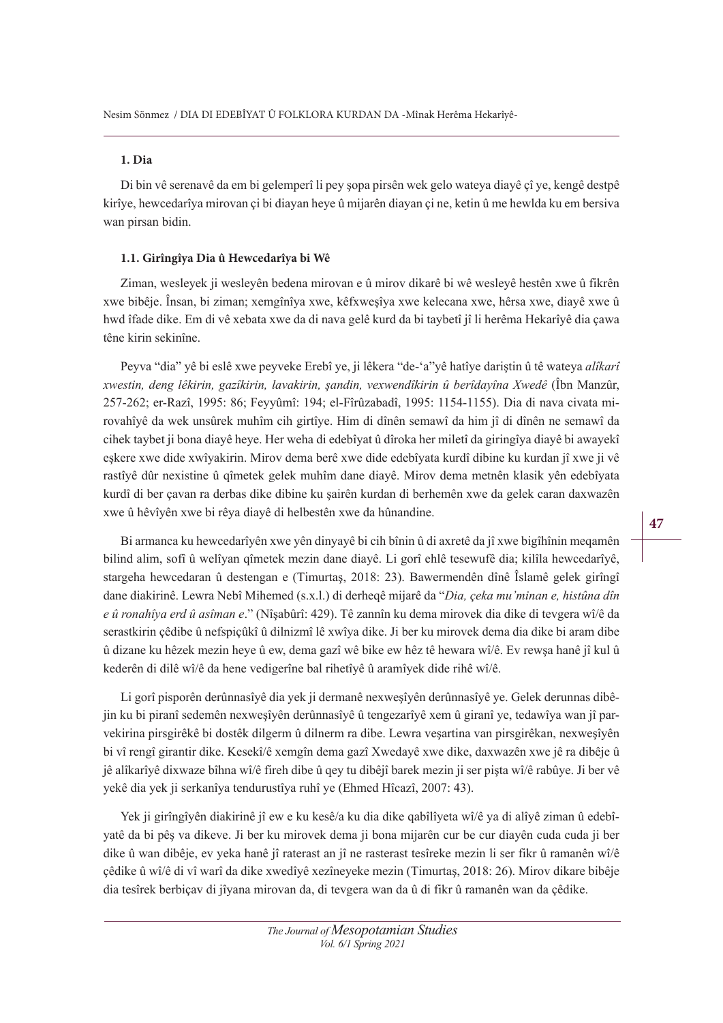#### **1. Dia**

Di bin vê serenavê da em bi gelemperî li pey şopa pirsên wek gelo wateya diayê çî ye, kengê destpê kirîye, hewcedarîya mirovan çi bi diayan heye û mijarên diayan çi ne, ketin û me hewlda ku em bersiva wan pirsan bidin.

#### **1.1. Girîngîya Dia û Hewcedarîya bi Wê**

Ziman, wesleyek ji wesleyên bedena mirovan e û mirov dikarê bi wê wesleyê hestên xwe û fikrên xwe bibêje. Însan, bi ziman; xemgînîya xwe, kêfxweşîya xwe kelecana xwe, hêrsa xwe, diayê xwe û hwd îfade dike. Em di vê xebata xwe da di nava gelê kurd da bi taybetî jî li herêma Hekarîyê dia çawa têne kirin sekinîne.

Peyva "dia" yê bi eslê xwe peyveke Erebî ye, ji lêkera "de-'a"yê hatîye dariştin û tê wateya *alîkarî [Zestin deng lrNirin ga]vNirin laYaNirin úandLn Ye[ZendvNirin Eervda\vna ;Zedr* (Îbn Manzûr, 257-262; er-Razî, 1995: 86; Feyyûmî: 194; el-Fîrûzabadî, 1995: 1154-1155). Dia di nava civata mirovahîyê da wek unsûrek muhîm cih girtîye. Him di dînên semawî da him jî di dînên ne semawî da cihek taybet ji bona diayê heye. Her weha di edebîyat û dîroka her miletî da giringîya diayê bi awayekî eşkere xwe dide xwîyakirin. Mirov dema berê xwe dide edebîyata kurdî dibine ku kurdan jî xwe ji vê rastîyê dûr nexistine û qîmetek gelek muhîm dane diayê. Mirov dema metnên klasik yên edebîyata kurdî di ber çavan ra derbas dike dibine ku şairên kurdan di berhemên xwe da gelek caran daxwazên xwe û hêvîyên xwe bi rêya diayê di helbestên xwe da hûnandine.

Bi armanca ku hewcedarîyên xwe yên dinyayê bi cih bînin û di axretê da jî xwe bigîhînin meqamên bilind alim, sofî û welîyan qîmetek mezin dane diayê. Li gorî ehlê tesewufê dia; kilîla hewcedarîyê, stargeha hewcedaran û destengan e (Timurtaş, 2018: 23). Bawermendên dînê Îslamê gelek girîngî dane diakirinê. Lewra Nebî Mihemed (s.x.l.) di derheqê mijarê da "*Dia, çeka mu'minan e, histûna dîn* e û ronahîya erd û asîman e." (Nîsabûrî: 429). Tê zannîn ku dema mirovek dia dike di tevgera wî/ê da serastkirin çêdibe û nefspiçûkî û dilnizmî lê xwîya dike. Ji ber ku mirovek dema dia dike bi aram dibe û dizane ku hêzek mezin heye û ew, dema gazî wê bike ew hêz tê hewara wî/ê. Ev rewşa hanê jî kul û kederên di dilê wî/ê da hene vedigerîne bal rihetîyê û aramîyek dide rihê wî/ê.

Li gorî pisporên derûnnasîyê dia yek ji dermanê nexweşîyên derûnnasîyê ye. Gelek derunnas dibêjin ku bi piranî sedemên nexweşîyên derûnnasîyê û tengezarîyê xem û giranî ye, tedawîya wan jî parvekirina pirsgirêkê bi dostêk dilgerm û dilnerm ra dibe. Lewra veşartina van pirsgirêkan, nexweşîyên bi vî rengî girantir dike. Kesekî/ê xemgîn dema gazî Xwedayê xwe dike, daxwazên xwe jê ra dibêje û jê alîkarîyê dixwaze bîhna wî/ê fireh dibe û qey tu dibêjî barek mezin ji ser pişta wî/ê rabûye. Ji ber vê yekê dia yek ji serkanîya tendurustîya ruhî ye (Ehmed Hîcazî, 2007: 43).

Yek ji girîngîyên diakirinê jî ew e ku kesê/a ku dia dike qabîlîyeta wî/ê ya di alîyê ziman û edebîyatê da bi pêş va dikeve. Ji ber ku mirovek dema ji bona mijarên cur be cur diayên cuda cuda ji ber dike û wan dibêje, ev yeka hanê jî raterast an jî ne rasterast tesîreke mezin li ser fikr û ramanên wî/ê çêdike û wî/ê di vî warî da dike xwedîyê xezîneyeke mezin (Timurtaş, 2018: 26). Mirov dikare bibêje dia tesîrek berbiçav di jîyana mirovan da, di tevgera wan da û di fikr û ramanên wan da çêdike.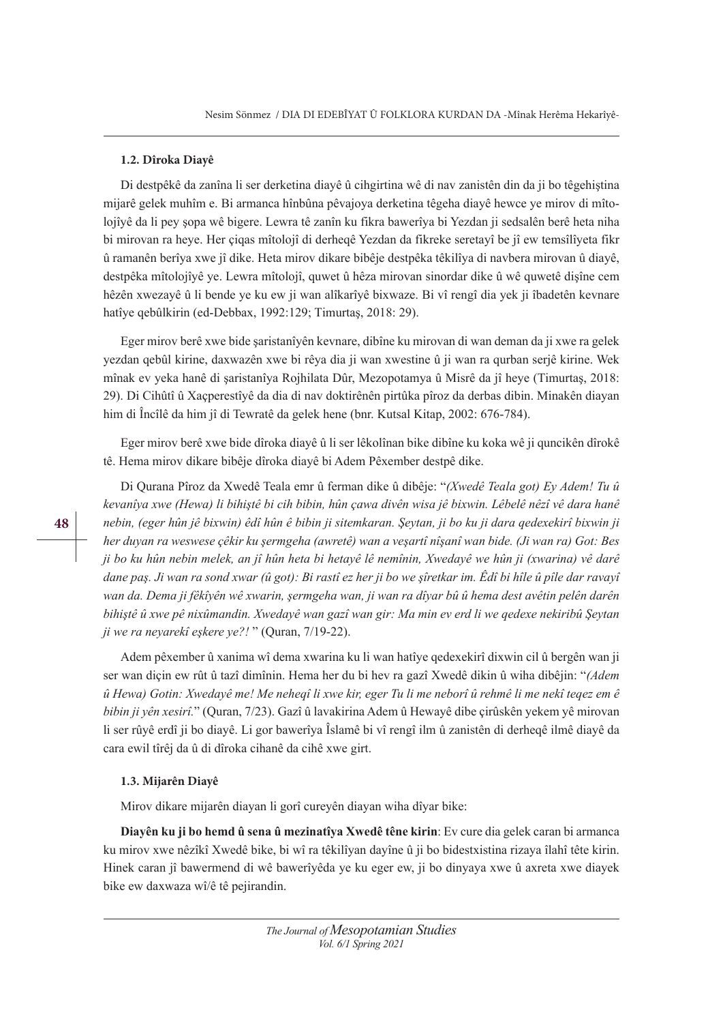#### **1.2. Dîroka Diayê**

Di destpêkê da zanîna li ser derketina diayê û cihgirtina wê di nav zanistên din da ji bo têgehiştina mijarê gelek muhîm e. Bi armanca hînbûna pêvajoya derketina têgeha diayê hewce ye mirov di mîtolojîyê da li pey şopa wê bigere. Lewra tê zanîn ku fikra bawerîya bi Yezdan ji sedsalên berê heta niha bi mirovan ra heye. Her çiqas mîtolojî di derheqê Yezdan da fikreke seretayî be jî ew temsîlîyeta fikr û ramanên berîya xwe jî dike. Heta mirov dikare bibêje destpêka têkilîya di navbera mirovan û diayê, destpêka mîtolojîyê ye. Lewra mîtolojî, quwet û hêza mirovan sinordar dike û wê quwetê dişîne cem hêzên xwezayê û li bende ye ku ew ji wan alîkarîyê bixwaze. Bi vî rengî dia yek ji îbadetên kevnare hatîye qebûlkirin (ed-Debbax, 1992:129; Timurtaş, 2018: 29).

Eger mirov berê xwe bide şaristanîyên kevnare, dibîne ku mirovan di wan deman da ji xwe ra gelek yezdan qebûl kirine, daxwazên xwe bi rêya dia ji wan xwestine û ji wan ra qurban serjê kirine. Wek mînak ev yeka hanê di şaristanîya Rojhilata Dûr, Mezopotamya û Misrê da jî heye (Timurtaş, 2018: 29). Di Cihûtî û Xaçperestîyê da dia di nav doktirênên pirtûka pîroz da derbas dibin. Minakên diayan him di Încîlê da him jî di Tewratê da gelek hene (bnr. Kutsal Kitap, 2002: 676-784).

Eger mirov berê xwe bide dîroka diayê û li ser lêkolînan bike dibîne ku koka wê ji quncikên dîrokê tê. Hema mirov dikare bibêje dîroka diayê bi Adem Pêxember destpê dike.

Di Qurana Pîroz da Xwedê Teala emr û ferman dike û dibêje: "*(Xwedê Teala got) Ev Adem! Tu û* kevanîva xwe (Hewa) li bihistê bi cih bibin, hûn cawa divên wisa jê bixwin. Lêbelê nêzî vê dara hanê nebin, (eger hûn jê bixwin) êdî hûn ê bibin ji sitemkaran. Şeytan, ji bo ku ji dara qedexekirî bixwin ji her duyan ra weswese cêkir ku sermgeha (awretê) wan a vesartî nîsanî wan bide. (Ji wan ra) Got: Bes ji bo ku hûn nebin melek, an jî hûn heta bi hetayê lê nemînin, Xwedayê we hûn ji (xwarina) vê darê dane paş. Ji wan ra sond xwar (û got): Bi rastî ez her ji bo we şîretkar im. Êdî bi hîle û pîle dar ravayî wan da. Dema ji fêkîyên wê xwarin, şermgeha wan, ji wan ra dîyar bû û hema dest ayêtin pelên darên bihiştê û xwe pê nixûmandin. Xwedayê wan gazî wan gir: Ma min ev erd li we qedexe nekiribû Şeytan *ji we ra neyarekî eşkere ye?!* " (Quran, 7/19-22).

Adem pêxember û xanima wî dema xwarina ku li wan hatîye qedexekirî dixwin cil û bergên wan ji ser wan diçin ew rût û tazî dimînin. Hema her du bi hev ra gazî Xwedê dikin û wiha dibêjin: "*\$dem*  û Hewa) Gotin: Xwedayê me! Me neheqî li xwe kir, eger Tu li me neborî û rehmê li me nekî teqez em ê *EiEin Mi \rn [esirv.*" (Quran, 7/23). Gazî û lavakirina Adem û Hewayê dibe çirûskên yekem yê mirovan li ser rûyê erdî ji bo diayê. Li gor bawerîya Îslamê bi vî rengî ilm û zanistên di derheqê ilmê diayê da cara ewil tîrêj da û di dîroka cihanê da cihê xwe girt.

#### **1.3. Mijarên Diayê**

Mirov dikare mijarên diayan li gorî cureyên diayan wiha dîyar bike:

Diavên ku ji bo hemd û sena û mezinatîva Xwedê têne kirin: Ev cure dia gelek caran bi armanca ku mirov xwe nêzîkî Xwedê bike, bi wî ra têkilîyan dayîne û ji bo bidestxistina rizaya îlahî tête kirin. Hinek caran jî bawermend di wê bawerîyêda ye ku eger ew, ji bo dinyaya xwe û axreta xwe diayek bike ew daxwaza wî/ê tê pejirandin.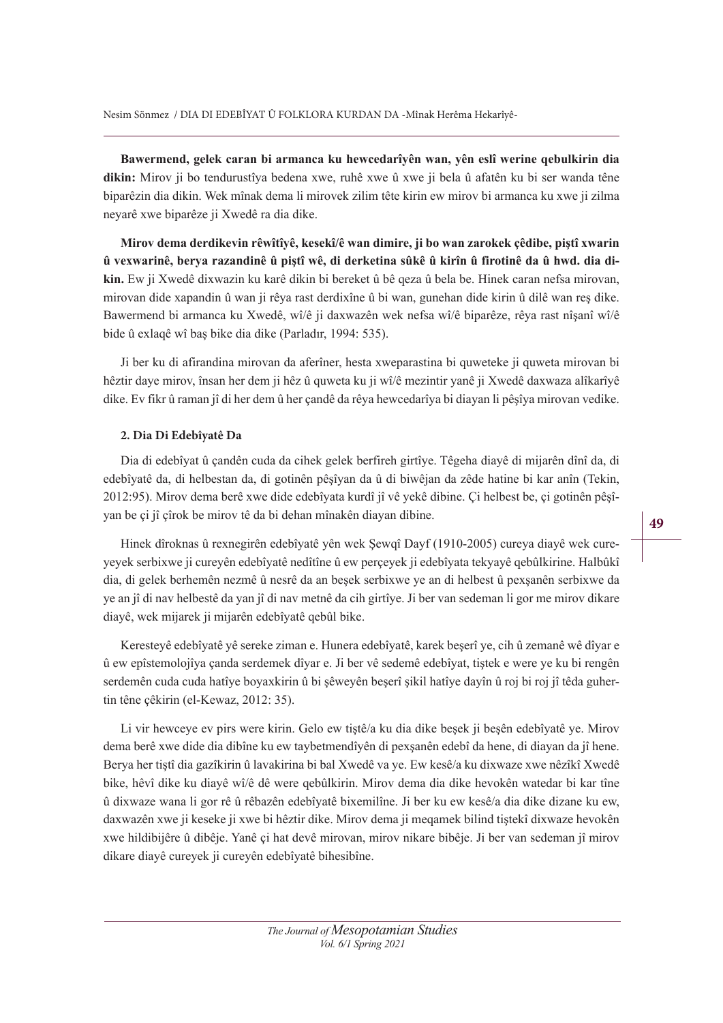Bawermend, gelek caran bi armanca ku hewcedarîyên wan, yên eslî werine qebulkirin dia dikin: Mirov ji bo tendurustîya bedena xwe, ruhê xwe û xwe ji bela û afatên ku bi ser wanda têne biparêzin dia dikin. Wek mînak dema li mirovek zilim tête kirin ew mirov bi armanca ku xwe ji zilma neyarê xwe biparêze ji Xwedê ra dia dike.

Mirov dema derdikevin rêwîtîyê, kesekî/ê wan dimire, ji bo wan zarokek çêdibe, piştî xwarin û vexwarinê, berva razandinê û pistî wê, di derketina sûkê û kirîn û firotinê da û hwd. dia dikin. Ew ji Xwedê dixwazin ku karê dikin bi bereket û bê qeza û bela be. Hinek caran nefsa mirovan, mirovan dide xapandin û wan ji rêya rast derdixîne û bi wan, gunehan dide kirin û dilê wan reş dike. Bawermend bi armanca ku Xwedê, wî/ê ji daxwazên wek nefsa wî/ê biparêze, rêya rast nîşanî wî/ê bide û exlaqê wî baş bike dia dike (Parladır, 1994: 535).

Ji ber ku di afirandina mirovan da aferîner, hesta xweparastina bi quweteke ji quweta mirovan bi hêztir daye mirov, însan her dem ji hêz û quweta ku ji wî/ê mezintir yanê ji Xwedê daxwaza alîkarîyê dike. Ev fikr û raman jî di her dem û her çandê da rêya hewcedarîya bi diayan li pêşîya mirovan vedike.

#### **2. Dia Di Edebîyatê Da**

Dia di edebîyat û çandên cuda da cihek gelek berfireh girtîye. Têgeha diayê di mijarên dînî da, di edebîyatê da, di helbestan da, di gotinên pêşîyan da û di biwêjan da zêde hatine bi kar anîn (Tekin, 2012:95). Mirov dema berê xwe dide edebîyata kurdî jî vê yekê dibine. Çi helbest be, çi gotinên pêşîyan be çi jî çîrok be mirov tê da bi dehan mînakên diayan dibine.

Hinek dîroknas û rexnegirên edebîyatê yên wek Şewqî Dayf (1910-2005) cureya diayê wek cureyeyek serbixwe ji cureyên edebîyatê nedîtîne û ew perçeyek ji edebîyata tekyayê qebûlkirine. Halbûkî dia, di gelek berhemên nezmê û nesrê da an beşek serbixwe ye an di helbest û pexşanên serbixwe da ye an jî di nav helbestê da yan jî di nav metnê da cih girtîye. Ji ber van sedeman li gor me mirov dikare diayê, wek mijarek ji mijarên edebîyatê qebûl bike.

Keresteyê edebîyatê yê sereke ziman e. Hunera edebîyatê, karek beşerî ye, cih û zemanê wê dîyar e û ew epîstemolojîya çanda serdemek dîyar e. Ji ber vê sedemê edebîyat, tiştek e were ye ku bi rengên serdemên cuda cuda hatîye boyaxkirin û bi şêweyên beşerî şikil hatîye dayîn û roj bi roj jî têda guhertin têne çêkirin (el-Kewaz, 2012: 35).

Li vir hewceye ev pirs were kirin. Gelo ew tiştê/a ku dia dike beşek ji beşên edebîyatê ye. Mirov dema berê xwe dide dia dibîne ku ew taybetmendîyên di pexşanên edebî da hene, di diayan da jî hene. Berya her tiştî dia gazîkirin û lavakirina bi bal Xwedê va ye. Ew kesê/a ku dixwaze xwe nêzîkî Xwedê bike, hêvî dike ku diayê wî/ê dê were qebûlkirin. Mirov dema dia dike hevokên watedar bi kar tîne û dixwaze wana li gor rê û rêbazên edebîyatê bixemilîne. Ji ber ku ew kesê/a dia dike dizane ku ew, daxwazên xwe ji keseke ji xwe bi hêztir dike. Mirov dema ji meqamek bilind tiştekî dixwaze hevokên xwe hildibijêre û dibêje. Yanê çi hat devê mirovan, mirov nikare bibêje. Ji ber van sedeman jî mirov dikare diayê cureyek ji cureyên edebîyatê bihesibîne.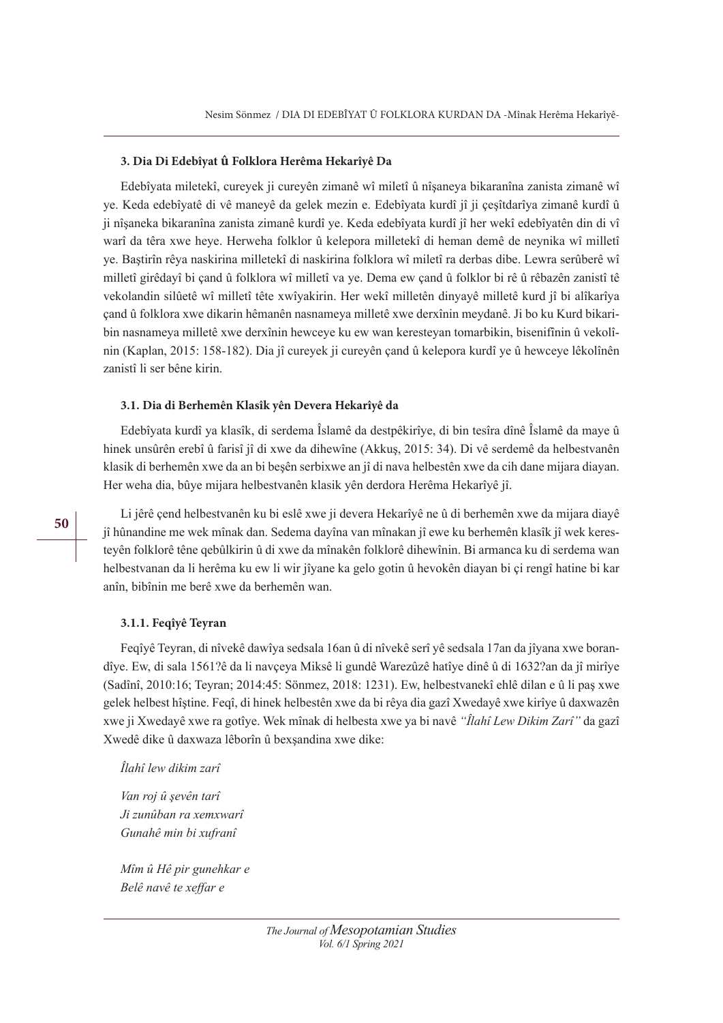#### **3. Dia Di Edebîyat û Folklora Herêma Hekarîyê Da**

Edebîyata miletekî, cureyek ji cureyên zimanê wî miletî û nîşaneya bikaranîna zanista zimanê wî ye. Keda edebîyatê di vê maneyê da gelek mezin e. Edebîyata kurdî jî ji çeşîtdarîya zimanê kurdî û ji nîşaneka bikaranîna zanista zimanê kurdî ye. Keda edebîyata kurdî jî her wekî edebîyatên din di vî warî da têra xwe heye. Herweha folklor û kelepora milletekî di heman demê de neynika wî milletî ye. Baştirîn rêya naskirina milletekî di naskirina folklora wî miletî ra derbas dibe. Lewra serûberê wî milletî girêdayî bi çand û folklora wî milletî va ye. Dema ew çand û folklor bi rê û rêbazên zanistî tê vekolandin silûetê wî milletî tête xwîyakirin. Her wekî milletên dinyayê milletê kurd jî bi alîkarîya çand û folklora xwe dikarin hêmanên nasnameya milletê xwe derxînin meydanê. Ji bo ku Kurd bikaribin nasnameya milletê xwe derxînin hewceye ku ew wan keresteyan tomarbikin, bisenifînin û vekolînin (Kaplan, 2015: 158-182). Dia jî cureyek ji cureyên çand û kelepora kurdî ye û hewceye lêkolînên zanistî li ser bêne kirin.

#### **3.1. Dia di Berhemên Klasîk yên Devera Hekarîyê da**

Edebîyata kurdî ya klasîk, di serdema Îslamê da destpêkirîye, di bin tesîra dînê Îslamê da maye û hinek unsûrên erebî û farisî jî di xwe da dihewîne (Akkuş, 2015: 34). Di vê serdemê da helbestvanên klasik di berhemên xwe da an bi beşên serbixwe an jî di nava helbestên xwe da cih dane mijara diayan. Her weha dia, bûye mijara helbestvanên klasik yên derdora Herêma Hekarîyê jî.

Li jêrê çend helbestvanên ku bi eslê xwe ji devera Hekarîyê ne û di berhemên xwe da mijara diayê jî hûnandine me wek mînak dan. Sedema dayîna van mînakan jî ewe ku berhemên klasîk jî wek keresteyên folklorê têne qebûlkirin û di xwe da mînakên folklorê dihewînin. Bi armanca ku di serdema wan helbestvanan da li herêma ku ew li wir jîyane ka gelo gotin û hevokên diayan bi çi rengî hatine bi kar anîn, bibînin me berê xwe da berhemên wan.

#### **3.1.1. Feqîyê Teyran**

Feqîyê Teyran, di nîvekê dawîya sedsala 16an û di nîvekê serî yê sedsala 17an da jîyana xwe borandîye. Ew, di sala 1561?ê da li navçeya Miksê li gundê Warezûzê hatîye dinê û di 1632?an da jî mirîye (Sadînî, 2010:16; Teyran; 2014:45: Sönmez, 2018: 1231). Ew, helbestvanekî ehlê dilan e û li paş xwe gelek helbest hîştine. Feqî, di hinek helbestên xwe da bi rêya dia gazî Xwedayê xwe kirîye û daxwazên xwe ji Xwedayê xwe ra gotîye. Wek mînak di helbesta xwe ya bi navê *''Îlahî Lew Dikim Zarî''* da gazî Xwedê dike û daxwaza lêborîn û bexşandina xwe dike:

*Îlahî lew dikim zarî* 

*Van roj û şevên tarî* Ji zunûban ra xemxwarî Gunahê min bi xufranî

*Mîm û Hê pir gunehkar e*  $Belê navê te xeffar e$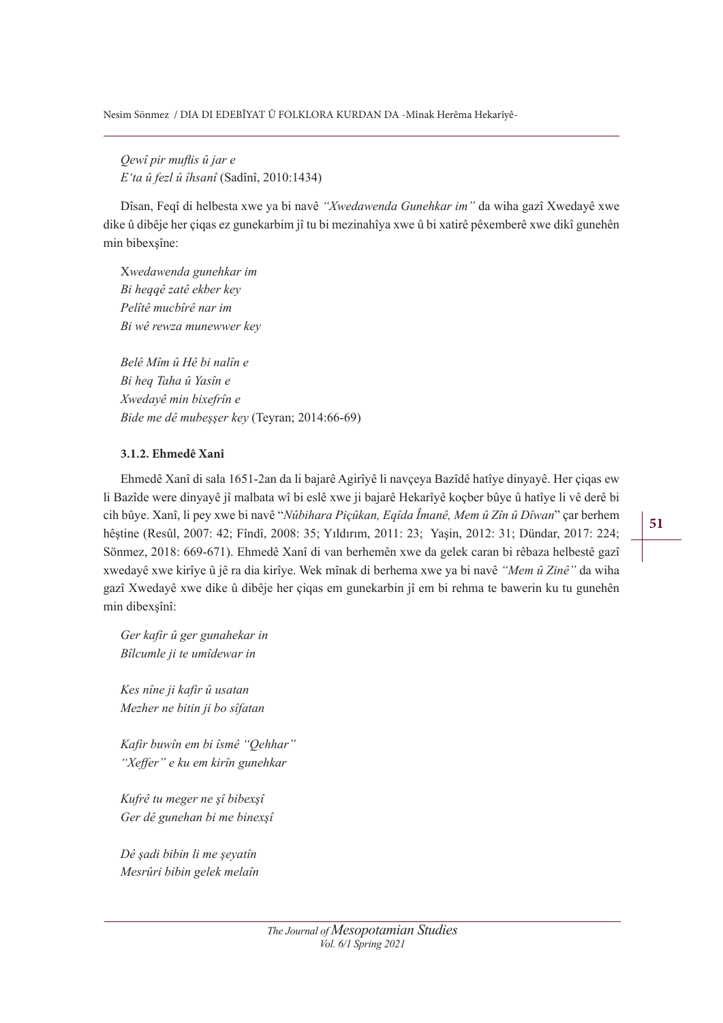*Oewî pir muflis û jar e E'ta û fezl û îhsanî* (Sadînî, 2010:1434)

Dîsan, Feqî di helbesta xwe ya bi navê "Xwedawenda Gunehkar im" da wiha gazî Xwedayê xwe dike û dibêje her çiqas ez gunekarbim jî tu bi mezinahîya xwe û bi xatirê pêxemberê xwe dikî gunehên min bibexşîne:

X*ZedaZenda guneKNar im*  $Bi$  *heqqê zatê ekber key* Pelîtê mucbîrê nar im  $B$ *i* wê rewza munewwer key

 $Belê Mîm *û Hê bi nalîn e*$  $B$ *i* heq Taha û Yasîn e  $X$ wedayê min bixefrîn e Bide me dê mubeşşer key (Teyran; 2014:66-69)

# **3.1.2. Ehmedê Xanî**

Ehmedê Xanî di sala 1651-2an da li bajarê Agirîyê li navçeya Bazîdê hatîye dinyayê. Her çiqas ew li Bazîde were dinyayê jî malbata wî bi eslê xwe ji bajarê Hekarîyê koçber bûye û hatîye li vê derê bi cih bûye. Xanî, li pey xwe bi navê "*Nûbihara Piçûkan, Eqîda Îmanê, Mem û Zîn û Dîwan*" çar berhem hêştine (Resûl, 2007: 42; Fîndî, 2008: 35; Yıldırım, 2011: 23; Yaşin, 2012: 31; Dündar, 2017: 224; Sönmez, 2018: 669-671). Ehmedê Xanî di van berhemên xwe da gelek caran bi rêbaza helbestê gazî xwedayê xwe kirîye û jê ra dia kirîye. Wek mînak di berhema xwe ya bi navê *"Mem û Zinê"* da wiha gazî Xwedayê xwe dike û dibêje her çiqas em gunekarbin jî em bi rehma te bawerin ku tu gunehên min dibexşînî:

Ger kafir û ger gunahekar in  $B$ îlcumle ji te umîdewar in

 $Kes$  nîne ji kafir û usatan *Mezher ne bitin ji bo sîfatan* 

Kafir buwîn em bi îsmê "Qehhar" *a<sub>i</sub>Xeffer*" e ku em kirîn gunehkar

Kufrê tu meger ne şî bibexşî Ger dê gunehan bi me binexşî

Dê şadi bibin li me şeyatîn *Mesrûri bibin gelek melaîn*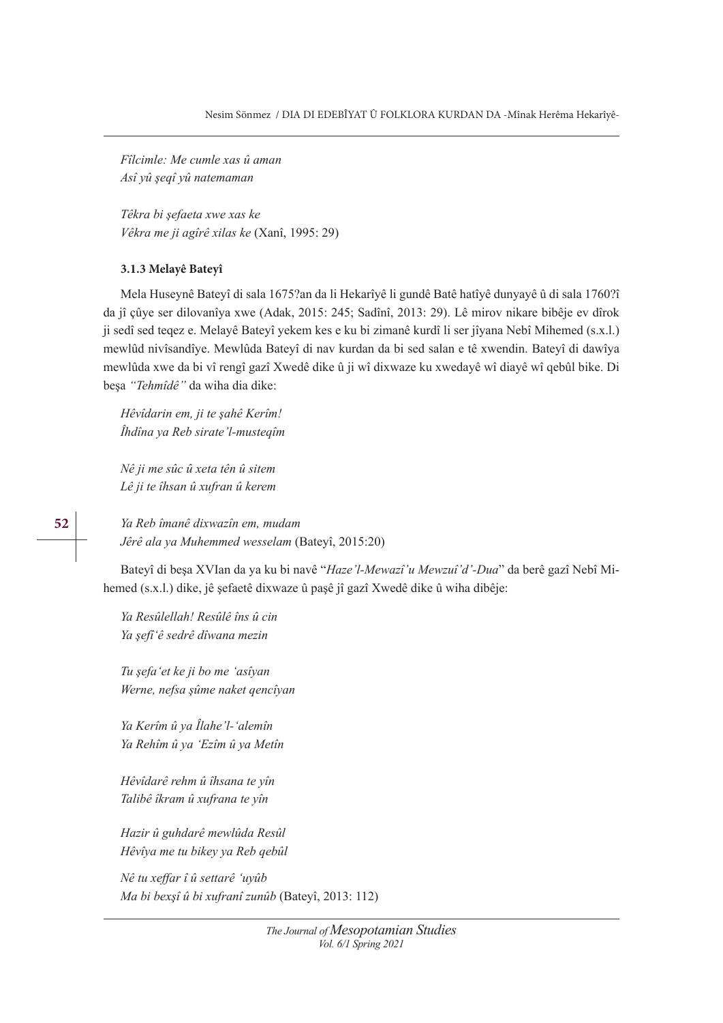*Fîlcimle: Me cumle xas û aman*  $Asi$  yû şeqî yû natemaman

*Têkra bi şefaeta xwe xas ke Vêkra me ji agîrê xilas ke* (Xanî, 1995: 29)

### **3.1.3 Melayê Bateyî**

Mela Huseynê Bateyî di sala 1675?an da li Hekarîyê li gundê Batê hatîyê dunyayê û di sala 1760?î da jî çûye ser dilovanîya xwe (Adak, 2015: 245; Sadînî, 2013: 29). Lê mirov nikare bibêje ev dîrok ji sedî sed teqez e. Melayê Bateyî yekem kes e ku bi zimanê kurdî li ser jîyana Nebî Mihemed (s.x.l.) mewlûd nivîsandîye. Mewlûda Bateyî di nav kurdan da bi sed salan e tê xwendin. Bateyî di dawîya mewlûda xwe da bi vî rengî gazî Xwedê dike û ji wî dixwaze ku xwedayê wî diayê wî qebûl bike. Di beşa "Tehmîdê" da wiha dia dike:

*Hêvîdarin em, ji te şahê Kerîm! Îhdîna ya Reb sirate'l-musteqîm* 

*Nê ji me sûc û xeta tên û sitem* Lê ji te îhsan û xufran û kerem

Ya Reb îmanê dixwazîn em, mudam Jêrê ala ya Muhemmed wesselam (Bateyî, 2015:20)

Bateyî di beşa XVIan da ya ku bi navê "*Haze'l-Mewazî'u Mewzuî'd'-Dua*" da berê gazî Nebî Mihemed (s.x.l.) dike, jê şefaetê dixwaze û paşê jî gazî Xwedê dike û wiha dibêje:

Ya Resûlellah! Resûlê îns û cin Ya şefî'ê sedrê dîwana mezin

*Tu şefa* 'et ke ji bo me 'asîyan *Werne, nefsa şûme naket qencîyan* 

*Ya Kerîm û ya Îlahe'l-'alemîn* Ya Rehîm û ya 'Ezîm û ya Metîn

*Hêvîdarê rehm û îhsana te vîn Talibê îkram û xufrana te yîn* 

Hazir û guhdarê mewlûda Resûl *Hêvîya me tu bikey ya Reb qebûl* 

*Nê tu xeffar î û settarê 'uyûb Ma bi bexșî û bi xufranî zunûb* (Bateyî, 2013: 112)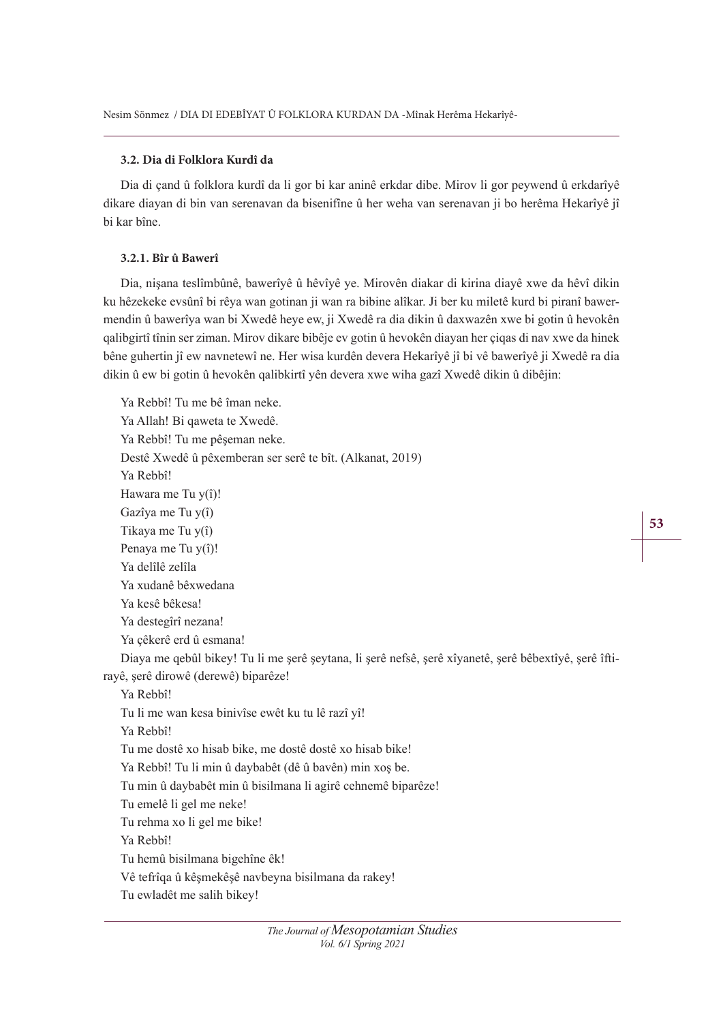# **3.2. Dia di Folklora Kurdî da**

Dia di çand û folklora kurdî da li gor bi kar aninê erkdar dibe. Mirov li gor peywend û erkdarîyê dikare diayan di bin van serenavan da bisenifîne û her weha van serenavan ji bo herêma Hekarîyê jî bi kar bîne.

# **3.2.1. Bîr û Bawerî**

Dia, nişana teslîmbûnê, bawerîyê û hêvîyê ye. Mirovên diakar di kirina diayê xwe da hêvî dikin ku hêzekeke evsûnî bi rêya wan gotinan ji wan ra bibine alîkar. Ji ber ku miletê kurd bi piranî bawermendin û bawerîya wan bi Xwedê heye ew, ji Xwedê ra dia dikin û daxwazên xwe bi gotin û hevokên qalibgirtî tînin ser ziman. Mirov dikare bibêje ev gotin û hevokên diayan her çiqas di nav xwe da hinek bêne guhertin jî ew navnetewî ne. Her wisa kurdên devera Hekarîyê jî bi vê bawerîyê ji Xwedê ra dia dikin û ew bi gotin û hevokên qalibkirtî yên devera xwe wiha gazî Xwedê dikin û dibêjin:

Ya Rebbî! Tu me bê îman neke. Ya Allah! Bi qaweta te Xwedê. Ya Rebbî! Tu me pêşeman neke. Destê Xwedê û pêxemberan ser serê te bît. (Alkanat, 2019) Ya Rebbî! Hawara me Tu y(î)! Gazîya me Tu y(î) Tikaya me Tu y(î) Penaya me Tu y(î)! Ya delîlê zelîla Ya xudanê bêxwedana Ya kesê bêkesa! Ya destegîrî nezana! Ya çêkerê erd û esmana! Diaya me qebûl bikey! Tu li me şerê şeytana, li şerê nefsê, şerê xîyanetê, şerê bêbextîyê, şerê îftirayê, şerê dirowê (derewê) biparêze! Ya Rebbî! Tu li me wan kesa binivîse ewêt ku tu lê razî yî! Ya Rebbî! Tu me dostê xo hisab bike, me dostê dostê xo hisab bike! Ya Rebbî! Tu li min û daybabêt (dê û bavên) min xoş be. Tu min û daybabêt min û bisilmana li agirê cehnemê biparêze! Tu emelê li gel me neke! Tu rehma xo li gel me bike! Ya Rebbî! Tu hemû bisilmana bigehîne êk! Vê tefrîqa û kêşmekêşê navbeyna bisilmana da rakey! Tu ewladêt me salih bikey!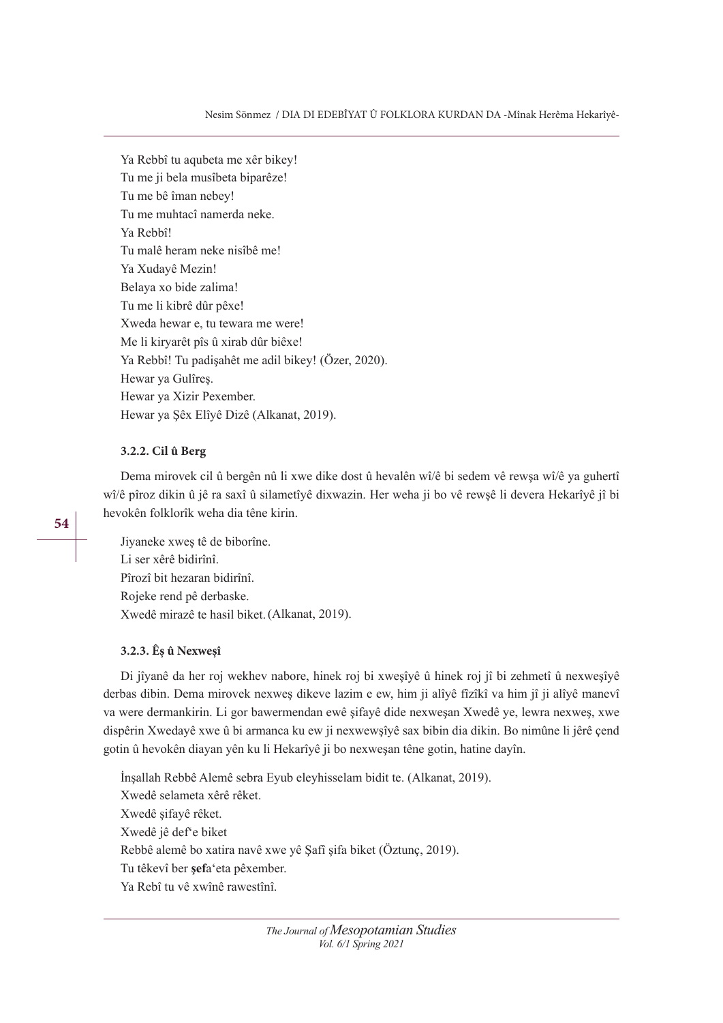Ya Rebbî tu aqubeta me xêr bikey! Tu me ji bela musîbeta biparêze! Tu me bê îman nebey! Tu me muhtacî namerda neke. Ya Rebbî! Tu malê heram neke nisîbê me! Ya Xudayê Mezin! Belaya xo bide zalima! Tu me li kibrê dûr pêxe! Xweda hewar e, tu tewara me were! Me li kiryarêt pîs û xirab dûr biêxe! Ya Rebbî! Tu padişahêt me adil bikey! (Özer, 2020). Hewar ya Gulîreş. Hewar ya Xizir Pexember. Hewar ya Şêx Elîyê Dizê (Alkanat, 2019).

# **3.2.2. Cil û Berg**

Dema mirovek cil û bergên nû li xwe dike dost û hevalên wî/ê bi sedem vê rewşa wî/ê ya guhertî wî/ê pîroz dikin û jê ra saxî û silametîyê dixwazin. Her weha ji bo vê rewşê li devera Hekarîyê jî bi hevokên folklorîk weha dia têne kirin.

**54**

Jiyaneke xweş tê de biborîne. Li ser xêrê bidirînî. Pîrozî bit hezaran bidirînî. Rojeke rend pê derbaske. Xwedê mirazê te hasil biket.(Alkanat, 2019).

#### **3.2.3. Êş û Nexweşî**

Di jîyanê da her roj wekhev nabore, hinek roj bi xweşîyê û hinek roj jî bi zehmetî û nexweşîyê derbas dibin. Dema mirovek nexweş dikeve lazim e ew, him ji alîyê fîzîkî va him jî ji alîyê manevî va were dermankirin. Li gor bawermendan ewê şifayê dide nexweşan Xwedê ye, lewra nexweş, xwe dispêrin Xwedayê xwe û bi armanca ku ew ji nexwewşîyê sax bibin dia dikin. Bo nimûne li jêrê çend gotin û hevokên diayan yên ku li Hekarîyê ji bo nexweşan têne gotin, hatine dayîn.

İnşallah Rebbê Alemê sebra Eyub eleyhisselam bidit te. (Alkanat, 2019). Xwedê selameta xêrê rêket. Xwedê şifayê rêket. Xwedê jê def'e biket Rebbê alemê bo xatira navê xwe yê Şafî şifa biket (Öztunç, 2019). Tu têkevî ber şefa'eta pêxember. Ya Rebî tu vê xwînê rawestînî.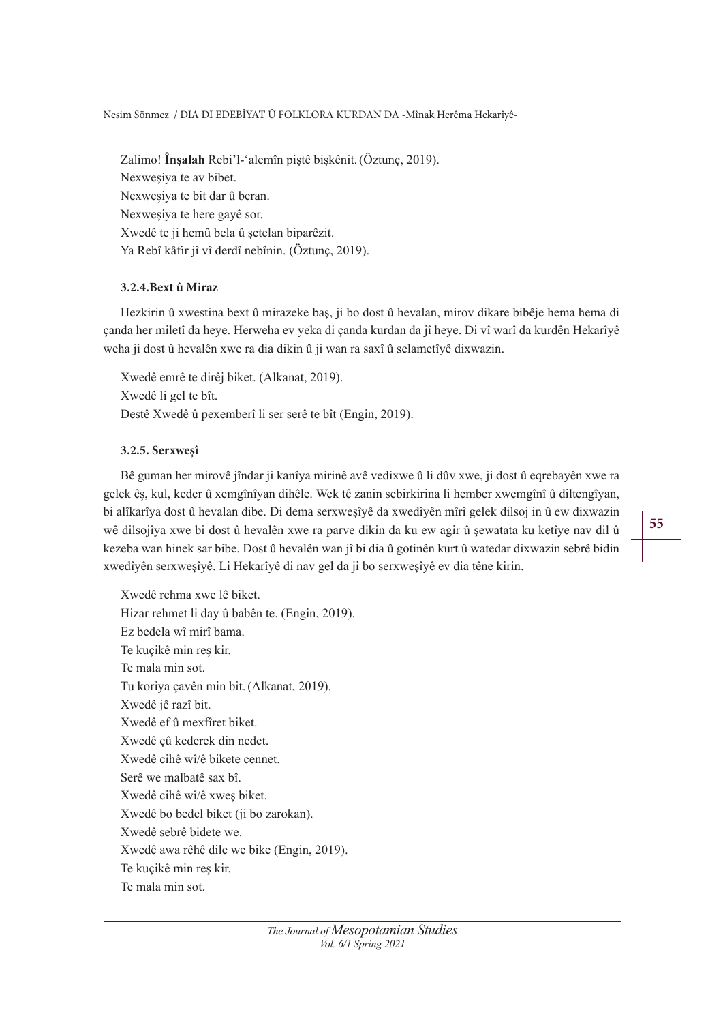#### Nesim Sönmez / DIA DI EDEBÎYAT Û FOLKLORA KURDAN DA -Mînak Herêma Hekarîyê-

Zalimo! **Însalah** Rebi'l-'alemîn piştê bişkênit. (Öztunç, 2019). Nexweşiya te av bibet. Nexweşiya te bit dar û beran. Nexweşiya te here gayê sor. Xwedê te ji hemû bela û şetelan biparêzit. Ya Rebî kâfir jî vî derdî nebînin. (Öztunç, 2019).

# **3.2.4.Bext û Miraz**

Hezkirin û xwestina bext û mirazeke baş, ji bo dost û hevalan, mirov dikare bibêje hema hema di çanda her miletî da heye. Herweha ev yeka di çanda kurdan da jî heye. Di vî warî da kurdên Hekarîyê weha ji dost û hevalên xwe ra dia dikin û ji wan ra saxî û selametîyê dixwazin.

Xwedê emrê te dirêj biket. (Alkanat, 2019). Xwedê li gel te bît. Destê Xwedê û pexemberî li ser serê te bît (Engin, 2019).

# **3.2.5. Serxweşî**

Bê guman her mirovê jîndar ji kanîya mirinê avê vedixwe û li dûv xwe, ji dost û eqrebayên xwe ra gelek êş, kul, keder û xemgînîyan dihêle. Wek tê zanin sebirkirina li hember xwemgînî û diltengîyan, bi alîkarîya dost û hevalan dibe. Di dema serxweşîyê da xwedîyên mîrî gelek dilsoj in û ew dixwazin wê dilsojîya xwe bi dost û hevalên xwe ra parve dikin da ku ew agir û şewatata ku ketîye nav dil û kezeba wan hinek sar bibe. Dost û hevalên wan jî bi dia û gotinên kurt û watedar dixwazin sebrê bidin xwedîyên serxweşîyê. Li Hekarîyê di nav gel da ji bo serxweşîyê ev dia têne kirin.

Xwedê rehma xwe lê biket. Hizar rehmet li day û babên te. (Engin, 2019). Ez bedela wî mirî bama. Te kuçikê min reş kir. Te mala min sot. Tu koriya çavên min bit.(Alkanat, 2019). Xwedê jê razî bit. Xwedê ef û mexfîret biket. Xwedê çû kederek din nedet. Xwedê cihê wî/ê bikete cennet. Serê we malbatê sax bî. Xwedê cihê wî/ê xweş biket. Xwedê bo bedel biket (ji bo zarokan). Xwedê sebrê bidete we. Xwedê awa rêhê dile we bike (Engin, 2019). Te kuçikê min reş kir. Te mala min sot.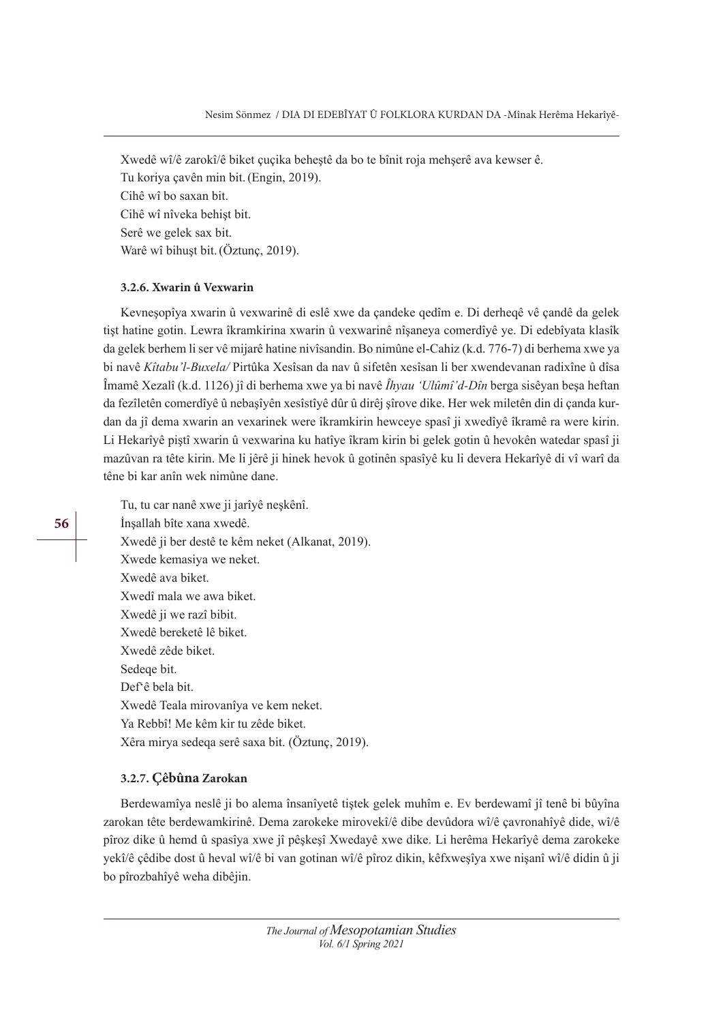Xwedê wî/ê zarokî/ê biket çuçika beheştê da bo te bînit roja mehşerê ava kewser ê. Tu koriya çavên min bit.(Engin, 2019). Cihê wî bo saxan bit. Cihê wî nîveka behişt bit. Serê we gelek sax bit. Warê wî bihuşt bit.(Öztunç, 2019).

# **3.2.6. Xwarin û Vexwarin**

Kevneşopîya xwarin û vexwarinê di eslê xwe da çandeke qedîm e. Di derheqê vê çandê da gelek tişt hatine gotin. Lewra îkramkirina xwarin û vexwarinê nîşaneya comerdîyê ye. Di edebîyata klasîk da gelek berhem li ser vê mijarê hatine nivîsandin. Bo nimûne el-Cahiz (k.d. 776-7) di berhema xwe ya bi navê *Kîtabu 'l-Buxela/* Pirtûka Xesîsan da nav û sifetên xesîsan li ber xwendevanan radixîne û dîsa Îmamê Xezalî (k.d. 1126) jî di berhema xwe ya bi navê *Îhyau 'Ulûmî'd-Dîn* berga sisêyan beşa heftan da fezîletên comerdîyê û nebaşîyên xesîstîyê dûr û dirêj şîrove dike. Her wek miletên din di çanda kurdan da jî dema xwarin an vexarinek were îkramkirin hewceye spasî ji xwedîyê îkramê ra were kirin. Li Hekarîyê piştî xwarin û vexwarina ku hatîye îkram kirin bi gelek gotin û hevokên watedar spasî ji mazûvan ra tête kirin. Me li jêrê ji hinek hevok û gotinên spasîyê ku li devera Hekarîyê di vî warî da têne bi kar anîn wek nimûne dane.

Tu, tu car nanê xwe ji jarîyê neşkênî. İnşallah bîte xana xwedê. Xwedê ji ber destê te kêm neket (Alkanat, 2019). Xwede kemasiya we neket. Xwedê ava biket. Xwedî mala we awa biket. Xwedê ji we razî bibit. Xwedê bereketê lê biket. Xwedê zêde biket. Sedeqe bit. Def'ê bela bit. Xwedê Teala mirovanîya ve kem neket. Ya Rebbî! Me kêm kir tu zêde biket. Xêra mirya sedeqa serê saxa bit. (Öztunç, 2019).

# **3.2.7. Çêbûna Zarokan**

Berdewamîya neslê ji bo alema însanîyetê tiştek gelek muhîm e. Ev berdewamî jî tenê bi bûyîna zarokan tête berdewamkirinê. Dema zarokeke mirovekî/ê dibe devûdora wî/ê çavronahîyê dide, wî/ê pîroz dike û hemd û spasîya xwe jî pêşkeşî Xwedayê xwe dike. Li herêma Hekarîyê dema zarokeke yekî/ê çêdibe dost û heval wî/ê bi van gotinan wî/ê pîroz dikin, kêfxweşîya xwe nişanî wî/ê didin û ji bo pîrozbahîyê weha dibêjin.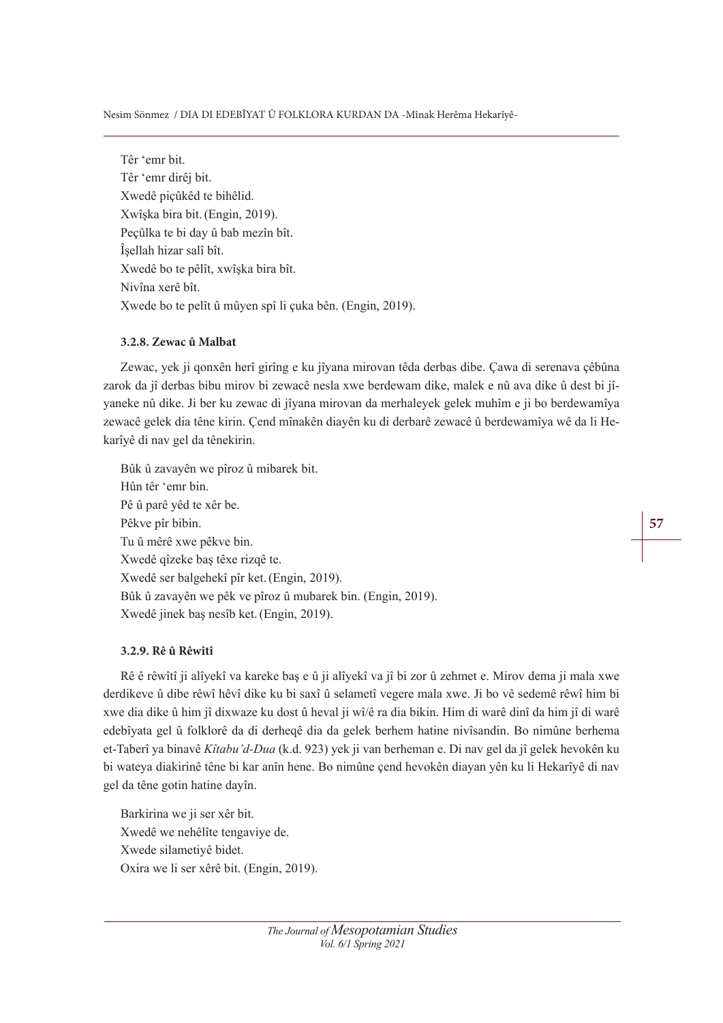Nesim Sönmez / DIA DI EDEBÎYAT Û FOLKLORA KURDAN DA -Mînak Herêma Hekarîyê-

Têr 'emr bit. Têr 'emr dirêj bit. Xwedê piçûkêd te bihêlid. Xwîşka bira bit.(Engin, 2019). Peçûlka te bi day û bab mezîn bît. Îşellah hizar salî bît. Xwedê bo te pêlît, xwîşka bira bît. Nivîna xerê bît. Xwede bo te pelît û mûyen spî li çuka bên. (Engin, 2019).

# **3.2.8. Zewac û Malbat**

Zewac, yek ji qonxên herî girîng e ku jîyana mirovan têda derbas dibe. Çawa di serenava çêbûna zarok da jî derbas bibu mirov bi zewacê nesla xwe berdewam dike, malek e nû ava dike û dest bi jîyaneke nû dike. Ji ber ku zewac di jîyana mirovan da merhaleyek gelek muhîm e ji bo berdewamîya zewacê gelek dia têne kirin. Çend mînakên diayên ku di derbarê zewacê û berdewamîya wê da li Hekarîyê di nav gel da tênekirin.

Bûk û zavayên we pîroz û mibarek bit. Hûn têr 'emr bin. Pê û parê yêd te xêr be. Pêkve pîr bibin. Tu û mêrê xwe pêkve bin. Xwedê qîzeke baş têxe rizqê te. Xwedê ser balgehekî pîr ket.(Engin, 2019). Bûk û zavayên we pêk ve pîroz û mubarek bin. (Engin, 2019). Xwedê jinek baş nesîb ket.(Engin, 2019).

# **3.2.9. Rê û Rêwîtî**

Rê ê rêwîtî ji alîyekî va kareke baş e û ji alîyekî va jî bi zor û zehmet e. Mirov dema ji mala xwe derdikeve û dibe rêwî hêvî dike ku bi saxî û selametî vegere mala xwe. Ji bo vê sedemê rêwî him bi xwe dia dike û him jî dixwaze ku dost û heval ji wî/ê ra dia bikin. Him di warê dinî da him jî di warê edebîyata gel û folklorê da di derheqê dia da gelek berhem hatine nivîsandin. Bo nimûne berhema et-Taberî ya binavê *Kîtabu'd-Dua* (k.d. 923) yek ji van berheman e. Di nav gel da jî gelek hevokên ku bi wateya diakirinê têne bi kar anîn hene. Bo nimûne çend hevokên diayan yên ku li Hekarîyê di nav gel da têne gotin hatine dayîn.

Barkirina we ji ser xêr bit. Xwedê we nehêlîte tengaviye de. Xwede silametiyê bidet. Oxira we li ser xêrê bit. (Engin, 2019).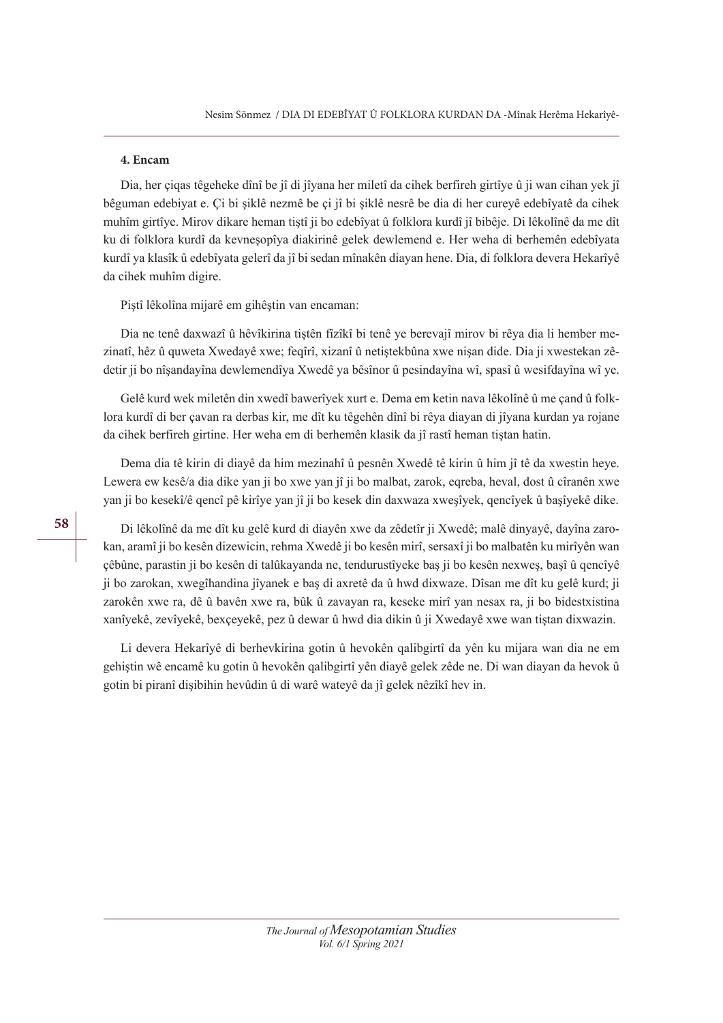#### **4. Encam**

Dia, her çiqas têgeheke dînî be jî di jîyana her miletî da cihek berfireh girtîye û ji wan cihan yek jî bêguman edebiyat e. Çi bi şiklê nezmê be çi jî bi şiklê nesrê be dia di her cureyê edebîyatê da cihek muhîm girtîye. Mirov dikare heman tiştî ji bo edebîyat û folklora kurdî jî bibêje. Di lêkolînê da me dît ku di folklora kurdî da kevneşopîya diakirinê gelek dewlemend e. Her weha di berhemên edebîyata kurdî ya klasîk û edebîyata gelerî da jî bi sedan mînakên diayan hene. Dia, di folklora devera Hekarîyê da cihek muhîm digire.

Piştî lêkolîna mijarê em gihêştin van encaman:

Dia ne tenê daxwazî û hêvîkirina tiştên fîzîkî bi tenê ye berevajî mirov bi rêya dia li hember mezinatî, hêz û quweta Xwedayê xwe; feqîrî, xizanî û netiştekbûna xwe nişan dide. Dia ji xwestekan zêdetir ji bo nîşandayîna dewlemendîya Xwedê ya bêsînor û pesindayîna wî, spasî û wesifdayîna wî ye.

Gelê kurd wek miletên din xwedî bawerîyek xurt e. Dema em ketin nava lêkolînê û me çand û folklora kurdî di ber çavan ra derbas kir, me dît ku têgehên dînî bi rêya diayan di jîyana kurdan ya rojane da cihek berfireh girtine. Her weha em di berhemên klasik da jî rastî heman tiştan hatin.

Dema dia tê kirin di diayê da him mezinahî û pesnên Xwedê tê kirin û him jî tê da xwestin heye. Lewera ew kesê/a dia dike yan ji bo xwe yan jî ji bo malbat, zarok, eqreba, heval, dost û cîranên xwe yan ji bo kesekî/ê qencî pê kirîye yan jî ji bo kesek din daxwaza xweşîyek, qencîyek û başîyekê dike.

Di lêkolînê da me dît ku gelê kurd di diayên xwe da zêdetîr ji Xwedê; malê dinyayê, dayîna zarokan, aramî ji bo kesên dizewicin, rehma Xwedê ji bo kesên mirî, sersaxî ji bo malbatên ku mirîyên wan çêbûne, parastin ji bo kesên di talûkayanda ne, tendurustîyeke baş ji bo kesên nexweş, başî û qencîyê ji bo zarokan, xwegîhandina jîyanek e baş di axretê da û hwd dixwaze. Dîsan me dît ku gelê kurd; ji zarokên xwe ra, dê û bavên xwe ra, bûk û zavayan ra, keseke mirî yan nesax ra, ji bo bidestxistina xanîyekê, zevîyekê, bexçeyekê, pez û dewar û hwd dia dikin û ji Xwedayê xwe wan tiştan dixwazin.

Li devera Hekarîyê di berhevkirina gotin û hevokên qalibgirtî da yên ku mijara wan dia ne em gehiştin wê encamê ku gotin û hevokên qalibgirtî yên diayê gelek zêde ne. Di wan diayan da hevok û gotin bi piranî dişibihin hevûdin û di warê wateyê da jî gelek nêzîkî hev in.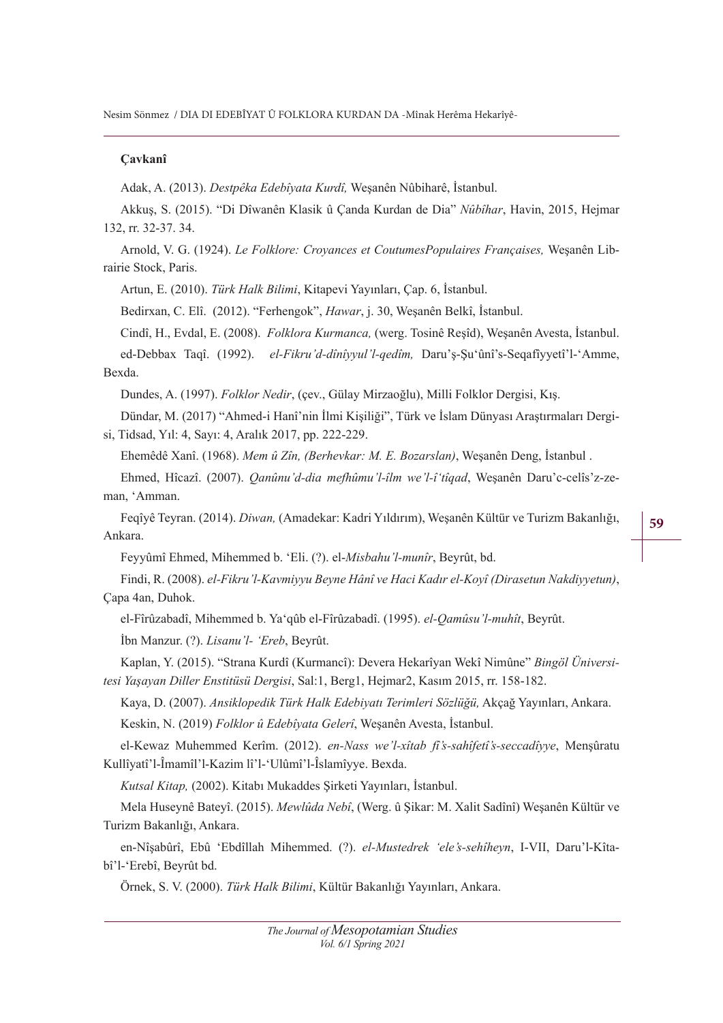Nesim Sönmez / DIA DI EDEBÎYAT Û FOLKLORA KURDAN DA -Mînak Herêma Hekarîyê-

#### **Cavkanî**

Adak, A. (2013). *Destpêka Edebîyata Kurdî*, Weşanên Nûbiharê, İstanbul.

Akkus, S. (2015). "Di Dîwanên Klasik û Canda Kurdan de Dia" *Nûbîhar*, Havin, 2015, Hejmar 132, rr. 32-37. 34.

Arnold, V. G. (1924). *Le Folklore: Croyances et CoutumesPopulaires Françaises*, Weşanên Librairie Stock, Paris.

Artun, E. (2010). *Türk Halk Bilimi*, Kitapevi Yayınları, Cap. 6, İstanbul.

Bedirxan, C. Elî. (2012). "Ferhengok", *Hawar*, j. 30, Weşanên Belkî, İstanbul.

Cindî, H., Evdal, E. (2008). *Folklora Kurmanca*, (werg. Tosinê Reşîd), Weşanên Avesta, İstanbul.

ed-Debbax Taqî. (1992). *el-Fikru'd-dînîvvul'l-qedîm*. Daru's-Su'ûnî's-Seqafîyyetî'l-'Amme, Bexda.

Dundes, A. (1997). *Folklor Nedir*, (çev., Gülay Mirzaoğlu), Milli Folklor Dergisi, Kış.

Dündar, M. (2017) "Ahmed-i Hanî'nin İlmi Kişiliği", Türk ve İslam Dünyası Araştırmaları Dergisi, Tidsad, Yıl: 4, Sayı: 4, Aralık 2017, pp. 222-229.

Ehemêdê Xanî. (1968). *Mem û Zîn, (Berhevkar: M. E. Bozarslan*), Weşanên Deng, İstanbul .

Ehmed, Hîcazî. (2007). *Oanûnu'd-dia mefhûmu'l-îlm we'l-î'tîqad*, Weşanên Daru'c-celîs'z-zeman, 'Amman.

Feqîyê Teyran. (2014). *Diwan*, (Amadekar: Kadri Yıldırım), Weşanên Kültür ve Turizm Bakanlığı, Ankara.

Feyyûmî Ehmed, Mihemmed b. 'Eli. (?). el-*Misbahu'l-munîr*, Beyrût, bd.

Findi, R. (2008). *el-Fikru'l-Kaymiyyu Beyne Hânî ye Haci Kadır el-Koyî (Dirasetun Nakdiyyetun)*, Çapa 4an, Duhok.

el-Fîrûzabadî, Mihemmed b. Ya'qûb el-Fîrûzabadî. (1995). *el-Qamûsu'l-muhît*, Beyrût.

İbn Manzur. (?). *Lisanu'l- 'Ereb*, Beyrût.

Kaplan, Y. (2015). "Strana Kurdî (Kurmancî): Devera Hekarîyan Wekî Nimûne" Bingöl Üniversitesi Yaşayan Diller Enstitüsü Dergisi, Sal:1, Berg1, Hejmar2, Kasım 2015, rr. 158-182.

Kaya, D. (2007). *Ansiklopedik Türk Halk Edebiyatı Terimleri Sözlüğü*, Akçağ Yayınları, Ankara. Keskin, N. (2019) *Folklor û Edebîyata Gelerî*, Weşanên Avesta, İstanbul.

el-Kewaz Muhemmed Kerîm. (2012). *en-Nass we'l-xîtab fî's-sahîfetî's-seccadîyye*, Menşûratu Kullîyatî'l-Îmamîl'l-Kazim lî'l-'Ulûmî'l-Îslamîyye. Bexda.

*Kutsal Kitap*, (2002). Kitabı Mukaddes Şirketi Yayınları, İstanbul.

Mela Huseynê Bateyî. (2015). *Mewlûda Nebî*, (Werg. û Sikar: M. Xalit Sadînî) Wesanên Kültür ve Turizm Bakanlığı, Ankara.

en-Nîşabûrî, Ebû 'Ebdîllah Mihemmed. (?). el-Mustedrek 'ele 's-sehîheyn, I-VII, Daru'l-Kîtabî'l-'Erebî, Beyrût bd.

Örnek, S. V. (2000). *Türk Halk Bilimi*, Kültür Bakanlığı Yayınları, Ankara.